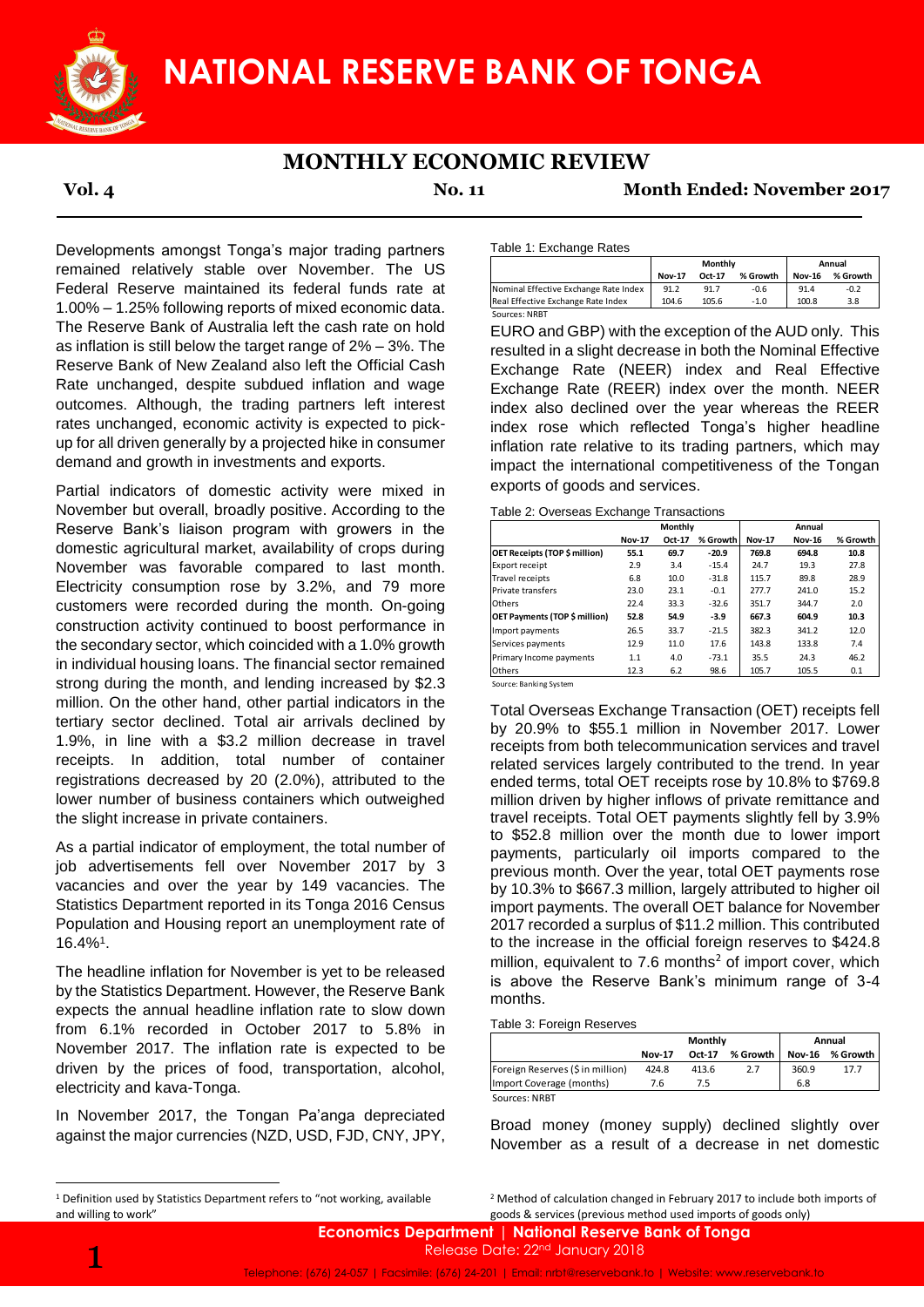

# **MONTHLY ECONOMIC REVIEW**

**Vol. 4 No. 11 Month Ended: November 2017**

Developments amongst Tonga's major trading partners remained relatively stable over November. The US Federal Reserve maintained its federal funds rate at 1.00% – 1.25% following reports of mixed economic data. The Reserve Bank of Australia left the cash rate on hold as inflation is still below the target range of 2% – 3%. The Reserve Bank of New Zealand also left the Official Cash Rate unchanged, despite subdued inflation and wage outcomes. Although, the trading partners left interest rates unchanged, economic activity is expected to pickup for all driven generally by a projected hike in consumer demand and growth in investments and exports.

Partial indicators of domestic activity were mixed in November but overall, broadly positive. According to the Reserve Bank's liaison program with growers in the domestic agricultural market, availability of crops during November was favorable compared to last month. Electricity consumption rose by 3.2%, and 79 more customers were recorded during the month. On-going construction activity continued to boost performance in the secondary sector, which coincided with a 1.0% growth in individual housing loans. The financial sector remained strong during the month, and lending increased by \$2.3 million. On the other hand, other partial indicators in the tertiary sector declined. Total air arrivals declined by 1.9%, in line with a \$3.2 million decrease in travel receipts. In addition, total number of container registrations decreased by 20 (2.0%), attributed to the lower number of business containers which outweighed the slight increase in private containers.

As a partial indicator of employment, the total number of job advertisements fell over November 2017 by 3 vacancies and over the year by 149 vacancies. The Statistics Department reported in its Tonga 2016 Census Population and Housing report an unemployment rate of 16.4%<sup>1</sup> .

The headline inflation for November is yet to be released by the Statistics Department. However, the Reserve Bank expects the annual headline inflation rate to slow down from 6.1% recorded in October 2017 to 5.8% in November 2017. The inflation rate is expected to be driven by the prices of food, transportation, alcohol, electricity and kava-Tonga.

In November 2017, the Tongan Pa'anga depreciated against the major currencies (NZD, USD, FJD, CNY, JPY,

Table 1: Exchange Rates

|                                       | Monthly       |        |          | Annual        |          |
|---------------------------------------|---------------|--------|----------|---------------|----------|
|                                       | <b>Nov-17</b> | Oct-17 | % Growth | <b>Nov-16</b> | % Growth |
| Nominal Effective Exchange Rate Index | 91.2          | 91.7   | $-0.6$   | 91.4          | $-0.2$   |
| Real Effective Exchange Rate Index    | 104.6         | 105.6  | $-1.0$   | 100.8         | 3.8      |
| Sources: NRBT                         |               |        |          |               |          |

EURO and GBP) with the exception of the AUD only. This resulted in a slight decrease in both the Nominal Effective Exchange Rate (NEER) index and Real Effective Exchange Rate (REER) index over the month. NEER index also declined over the year whereas the REER index rose which reflected Tonga's higher headline inflation rate relative to its trading partners, which may impact the international competitiveness of the Tongan exports of goods and services.

Table 2: Overseas Exchange Transactions

|                               | Monthly       |        |          | Annual        |               |          |  |
|-------------------------------|---------------|--------|----------|---------------|---------------|----------|--|
|                               | <b>Nov-17</b> | Oct-17 | % Growth | <b>Nov-17</b> | <b>Nov-16</b> | % Growth |  |
| OET Receipts (TOP \$ million) | 55.1          | 69.7   | $-20.9$  | 769.8         | 694.8         | 10.8     |  |
| Export receipt                | 2.9           | 3.4    | $-15.4$  | 24.7          | 19.3          | 27.8     |  |
| <b>Travel receipts</b>        | 6.8           | 10.0   | $-31.8$  | 115.7         | 89.8          | 28.9     |  |
| Private transfers             | 23.0          | 23.1   | $-0.1$   | 277.7         | 241.0         | 15.2     |  |
| Others                        | 22.4          | 33.3   | $-32.6$  | 351.7         | 344.7         | 2.0      |  |
| OET Payments (TOP \$ million) | 52.8          | 54.9   | $-3.9$   | 667.3         | 604.9         | 10.3     |  |
| Import payments               | 26.5          | 33.7   | $-21.5$  | 382.3         | 341.2         | 12.0     |  |
| Services payments             | 12.9          | 11.0   | 17.6     | 143.8         | 133.8         | 7.4      |  |
| Primary Income payments       | 1.1           | 4.0    | $-73.1$  | 35.5          | 24.3          | 46.2     |  |
| Others                        | 12.3          | 6.2    | 98.6     | 105.7         | 105.5         | 0.1      |  |

Source: Banking System

Total Overseas Exchange Transaction (OET) receipts fell by 20.9% to \$55.1 million in November 2017. Lower receipts from both telecommunication services and travel related services largely contributed to the trend. In year ended terms, total OET receipts rose by 10.8% to \$769.8 million driven by higher inflows of private remittance and travel receipts. Total OET payments slightly fell by 3.9% to \$52.8 million over the month due to lower import payments, particularly oil imports compared to the previous month. Over the year, total OET payments rose by 10.3% to \$667.3 million, largely attributed to higher oil import payments. The overall OET balance for November 2017 recorded a surplus of \$11.2 million. This contributed to the increase in the official foreign reserves to \$424.8 million, equivalent to  $7.6$  months<sup>2</sup> of import cover, which is above the Reserve Bank's minimum range of 3-4 months. Governal Region (Solution 1990) Manual Region (New 1990) And Manual Region (New 1990) (New 1990) (New 1990) (New 1990) (New 1990) (New 1990) (New 1990) Manual Effect (NEER) index and Real CRUS and Real Effect (NEER) index

## Table 3: Foreign Reserves

|                                  | Monthly       |        |          | Annual        |          |
|----------------------------------|---------------|--------|----------|---------------|----------|
|                                  | <b>Nov-17</b> | Oct-17 | % Growth | <b>Nov-16</b> | % Growth |
| Foreign Reserves (\$ in million) | 424.8         | 413.6  | 2.7      | 360.9         | 17.7     |
| Import Coverage (months)         | 7.6           | 75     |          | 6.8           |          |
| Sources: NRBT                    |               |        |          |               |          |

Broad money (money supply) declined slightly over November as a result of a decrease in net domestic

1

**.** 

<sup>2</sup> Method of calculation changed in February 2017 to include both imports of

<sup>&</sup>lt;sup>1</sup> Definition used by Statistics Department refers to "not working, available and willing to work"